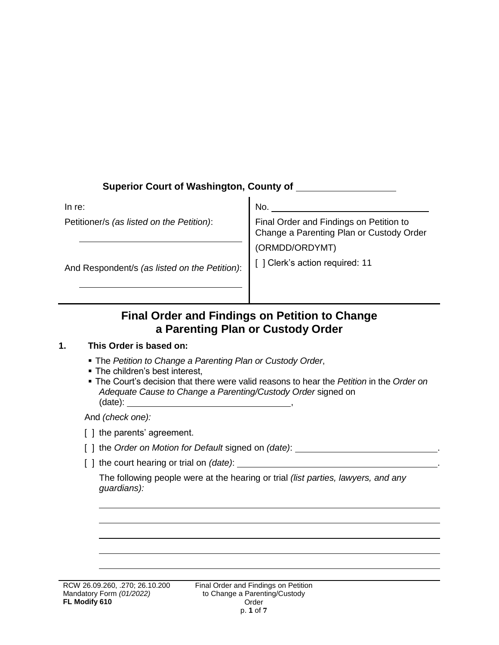# **Superior Court of Washington, County of**

| No.                                                                                 |
|-------------------------------------------------------------------------------------|
| Final Order and Findings on Petition to<br>Change a Parenting Plan or Custody Order |
| (ORMDD/ORDYMT)                                                                      |
| [] Clerk's action required: 11                                                      |
|                                                                                     |

# **Final Order and Findings on Petition to Change a Parenting Plan or Custody Order**

## **1. This Order is based on:**

- The *Petition to Change a Parenting Plan or Custody Order*,
- The children's best interest,
- The Court's decision that there were valid reasons to hear the *Petition* in the *Order on Adequate Cause to Change a Parenting/Custody Order* signed on  $(data)$ :

And *(check one):*

[ ] the parents' agreement.

- [ ] the *Order on Motion for Default* signed on *(date)*: .
- [ ] the court hearing or trial on *(date)*: \_\_\_\_\_\_\_\_\_\_

The following people were at the hearing or trial *(list parties, lawyers, and any guardians):*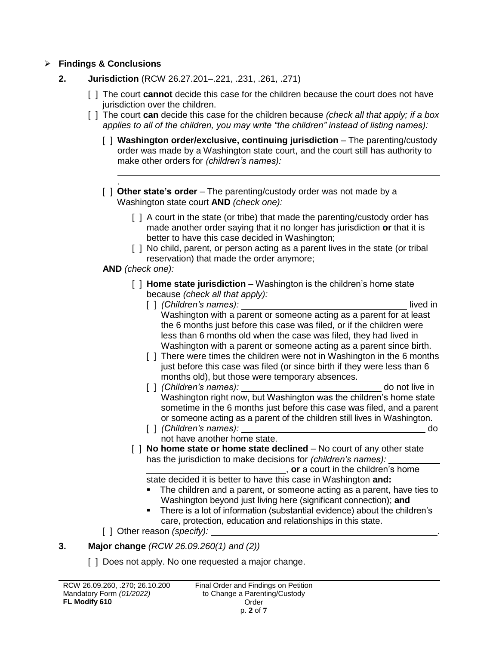## **Findings & Conclusions**

- **2. Jurisdiction** (RCW 26.27.201–.221, .231, .261, .271)
	- [ ] The court **cannot** decide this case for the children because the court does not have jurisdiction over the children.
	- [ ] The court **can** decide this case for the children because *(check all that apply; if a box applies to all of the children, you may write "the children" instead of listing names):*
		- [ ] **Washington order/exclusive, continuing jurisdiction**  The parenting/custody order was made by a Washington state court, and the court still has authority to make other orders for *(children's names):*
		- . [ ] **Other state's order** – The parenting/custody order was not made by a Washington state court **AND** *(check one):*
			- [] A court in the state (or tribe) that made the parenting/custody order has made another order saying that it no longer has jurisdiction **or** that it is better to have this case decided in Washington;
			- [ ] No child, parent, or person acting as a parent lives in the state (or tribal reservation) that made the order anymore;

### **AND** *(check one):*

- [ ] **Home state jurisdiction** Washington is the children's home state because *(check all that apply):* 
	- [ ] *(Children's names):* lived in Washington with a parent or someone acting as a parent for at least the 6 months just before this case was filed, or if the children were less than 6 months old when the case was filed, they had lived in Washington with a parent or someone acting as a parent since birth.
	- [] There were times the children were not in Washington in the 6 months just before this case was filed (or since birth if they were less than 6 months old), but those were temporary absences.
	- [ ] *(Children's names):* do not live in Washington right now, but Washington was the children's home state sometime in the 6 months just before this case was filed, and a parent or someone acting as a parent of the children still lives in Washington.
	- [ ] *(Children's names):* do not have another home state.
- [ ] **No home state or home state declined** No court of any other state has the jurisdiction to make decisions for *(children's names):*

\_\_\_\_\_\_\_\_\_\_\_\_\_\_\_\_\_\_\_\_\_\_\_\_\_\_\_\_, **or** a court in the children's home

- state decided it is better to have this case in Washington **and:**
- The children and a parent, or someone acting as a parent, have ties to Washington beyond just living here (significant connection); **and**
- There is a lot of information (substantial evidence) about the children's care, protection, education and relationships in this state.
- [ ] Other reason *(specify):*

# **3. Major change** *(RCW 26.09.260(1) and (2))*

[ ] Does not apply. No one requested a major change.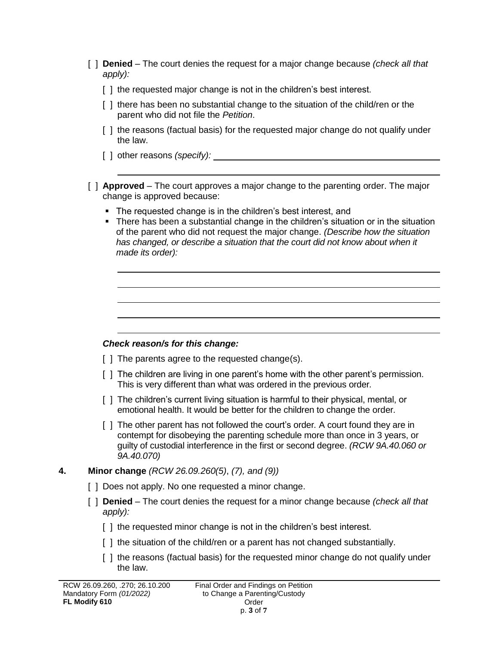- [ ] **Denied** The court denies the request for a major change because *(check all that apply):*
	- [] the requested major change is not in the children's best interest.
	- [ ] there has been no substantial change to the situation of the child/ren or the parent who did not file the *Petition*.
	- [] the reasons (factual basis) for the requested major change do not qualify under the law.
	- [ ] other reasons *(specify):*
- [ ] **Approved** The court approves a major change to the parenting order. The major change is approved because:
	- The requested change is in the children's best interest, and
	- There has been a substantial change in the children's situation or in the situation of the parent who did not request the major change. *(Describe how the situation*  has changed, or describe a situation that the court did not know about when it *made its order):*

# *Check reason/s for this change:*

- [] The parents agree to the requested change(s).
- [ ] The children are living in one parent's home with the other parent's permission. This is very different than what was ordered in the previous order*.*
- [ ] The children's current living situation is harmful to their physical, mental, or emotional health. It would be better for the children to change the order*.*
- [ ] The other parent has not followed the court's order*.* A court found they are in contempt for disobeying the parenting schedule more than once in 3 years, or guilty of custodial interference in the first or second degree. *(RCW 9A.40.060 or 9A.40.070)*

# **4. Minor change** *(RCW 26.09.260(5)*, *(7), and (9))*

- [  $\vert$  ] Does not apply. No one requested a minor change.
- [ ] **Denied** The court denies the request for a minor change because *(check all that apply):*
	- [] the requested minor change is not in the children's best interest.
	- [ ] the situation of the child/ren or a parent has not changed substantially.
	- [ ] the reasons (factual basis) for the requested minor change do not qualify under the law.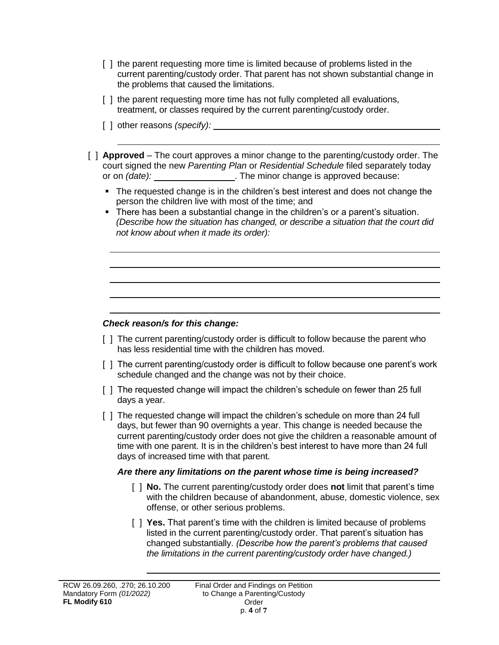- [ ] the parent requesting more time is limited because of problems listed in the current parenting/custody order. That parent has not shown substantial change in the problems that caused the limitations.
- [] the parent requesting more time has not fully completed all evaluations, treatment, or classes required by the current parenting/custody order.
- [ ] other reasons *(specify):*
- [ ] **Approved** The court approves a minor change to the parenting/custody order. The court signed the new *Parenting Plan* or *Residential Schedule* filed separately today or on *(date):* \_\_\_\_\_\_\_\_\_\_\_\_\_\_\_\_\_. The minor change is approved because:
	- The requested change is in the children's best interest and does not change the person the children live with most of the time; and
	- There has been a substantial change in the children's or a parent's situation. *(Describe how the situation has changed, or describe a situation that the court did not know about when it made its order):*

### *Check reason/s for this change:*

- [ ] The current parenting/custody order is difficult to follow because the parent who has less residential time with the children has moved.
- [ ] The current parenting/custody order is difficult to follow because one parent's work schedule changed and the change was not by their choice.
- [ ] The requested change will impact the children's schedule on fewer than 25 full days a year.
- [ ] The requested change will impact the children's schedule on more than 24 full days, but fewer than 90 overnights a year. This change is needed because the current parenting/custody order does not give the children a reasonable amount of time with one parent. It is in the children's best interest to have more than 24 full days of increased time with that parent.

#### *Are there any limitations on the parent whose time is being increased?*

- [ ] **No.** The current parenting/custody order does **not** limit that parent's time with the children because of abandonment, abuse, domestic violence, sex offense, or other serious problems.
- [ ] **Yes.** That parent's time with the children is limited because of problems listed in the current parenting/custody order. That parent's situation has changed substantially. *(Describe how the parent's problems that caused the limitations in the current parenting/custody order have changed.)*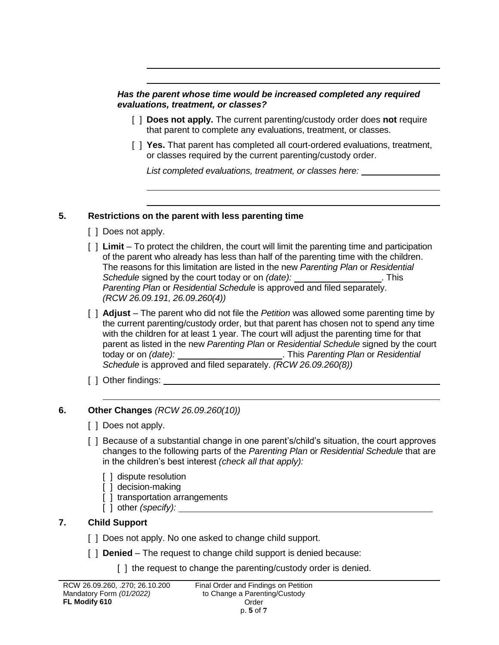*Has the parent whose time would be increased completed any required evaluations, treatment, or classes?*

- [ ] **Does not apply.** The current parenting/custody order does **not** require that parent to complete any evaluations, treatment, or classes.
- [ ] **Yes.** That parent has completed all court-ordered evaluations, treatment, or classes required by the current parenting/custody order.

*List completed evaluations, treatment, or classes here:* 

#### **5. Restrictions on the parent with less parenting time**

- [ ] Does not apply.
- [ ] **Limit** To protect the children, the court will limit the parenting time and participation of the parent who already has less than half of the parenting time with the children. The reasons for this limitation are listed in the new *Parenting Plan* or *Residential*  Schedule signed by the court today or on *(date):* \_\_\_\_\_\_\_\_\_\_\_\_\_\_\_\_\_\_. This *Parenting Plan* or *Residential Schedule* is approved and filed separately. *(RCW 26.09.191, 26.09.260(4))*
- [ ] **Adjust** The parent who did not file the *Petition* was allowed some parenting time by the current parenting/custody order, but that parent has chosen not to spend any time with the children for at least 1 year. The court will adjust the parenting time for that parent as listed in the new *Parenting Plan* or *Residential Schedule* signed by the court today or on *(date):* . This *Parenting Plan* or *Residential Schedule* is approved and filed separately. *(RCW 26.09.260(8))*
- [ ] Other findings:

## **6. Other Changes** *(RCW 26.09.260(10))*

- [ ] Does not apply.
- [ ] Because of a substantial change in one parent's/child's situation, the court approves changes to the following parts of the *Parenting Plan* or *Residential Schedule* that are in the children's best interest *(check all that apply):*
	- [ ] dispute resolution
	- [ ] decision-making
	- [ ] transportation arrangements
	- [ ] other *(specify):*

# **7. Child Support**

- [ ] Does not apply. No one asked to change child support.
- [ ] **Denied** The request to change child support is denied because:
	- [] the request to change the parenting/custody order is denied.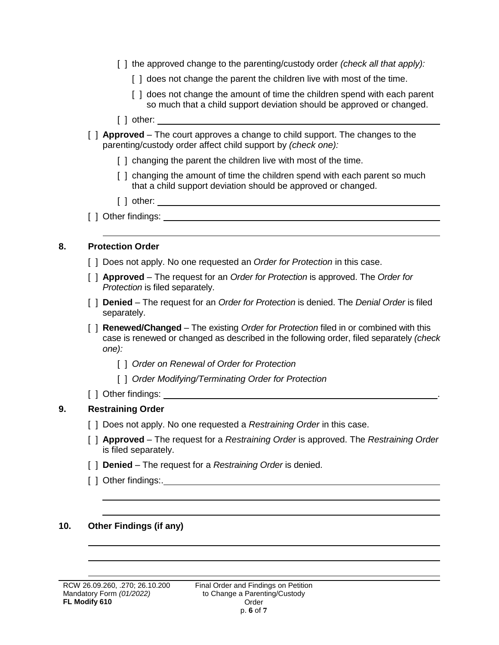- [ ] the approved change to the parenting/custody order *(check all that apply):*
	- [] does not change the parent the children live with most of the time.
	- [] does not change the amount of time the children spend with each parent so much that a child support deviation should be approved or changed.
- [ ] other:
- [ ] **Approved** The court approves a change to child support. The changes to the parenting/custody order affect child support by *(check one):*
	- [] changing the parent the children live with most of the time.
	- [] changing the amount of time the children spend with each parent so much that a child support deviation should be approved or changed.
	- [ ] other:
- [ ] Other findings:

#### **8. Protection Order**

- [ ] Does not apply. No one requested an *Order for Protection* in this case.
- [ ] **Approved** The request for an *Order for Protection* is approved. The *Order for Protection* is filed separately.
- [ ] **Denied** The request for an *Order for Protection* is denied. The *Denial Order* is filed separately.
- [ ] **Renewed/Changed** The existing *Order for Protection* filed in or combined with this case is renewed or changed as described in the following order, filed separately *(check one):*
	- [ ] *Order on Renewal of Order for Protection*
	- [ ] *Order Modifying/Terminating Order for Protection*
- [ ] Other findings:

#### **9. Restraining Order**

- [ ] Does not apply. No one requested a *Restraining Order* in this case.
- [ ] **Approved** The request for a *Restraining Order* is approved. The *Restraining Order* is filed separately.
- [ ] **Denied** The request for a *Restraining Order* is denied.
- [ ] Other findings:.

### **10. Other Findings (if any)**